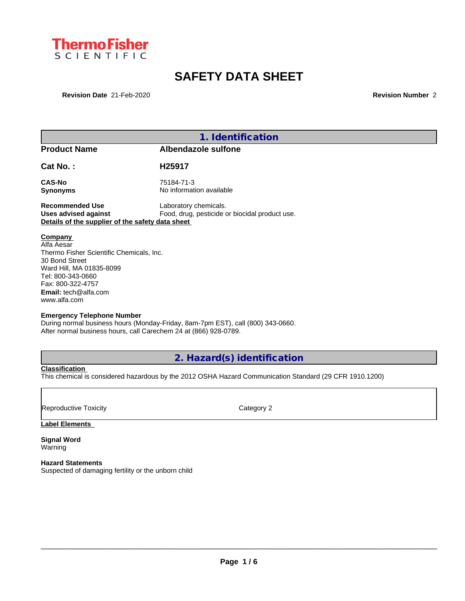

# **SAFETY DATA SHEET**

**Revision Date** 21-Feb-2020 **Revision Number** 2

|                                                                                                                                                                                                          | 1. Identification                                                               |  |
|----------------------------------------------------------------------------------------------------------------------------------------------------------------------------------------------------------|---------------------------------------------------------------------------------|--|
| <b>Product Name</b>                                                                                                                                                                                      | Albendazole sulfone                                                             |  |
| Cat No.:                                                                                                                                                                                                 | H25917                                                                          |  |
| CAS-No<br><b>Synonyms</b>                                                                                                                                                                                | 75184-71-3<br>No information available                                          |  |
| <b>Recommended Use</b><br><b>Uses advised against</b><br>Details of the supplier of the safety data sheet                                                                                                | Laboratory chemicals.<br>Food, drug, pesticide or biocidal product use.         |  |
| Company<br>Alfa Aesar<br>Thermo Fisher Scientific Chemicals, Inc.<br>30 Bond Street<br>Ward Hill, MA 01835-8099<br>Tel: 800-343-0660<br>Fax: 800-322-4757<br><b>Email:</b> tech@alfa.com<br>www.alfa.com |                                                                                 |  |
| <b>Emergency Telephone Number</b><br>After normal business hours, call Carechem 24 at (866) 928-0789.                                                                                                    | During normal business hours (Monday-Friday, 8am-7pm EST), call (800) 343-0660. |  |

**2. Hazard(s) identification**

**Classification**

This chemical is considered hazardous by the 2012 OSHA Hazard Communication Standard (29 CFR 1910.1200)

Reproductive Toxicity **Category 2 Category 2** 

**Label Elements**

**Signal Word** Warning

**Hazard Statements** Suspected of damaging fertility or the unborn child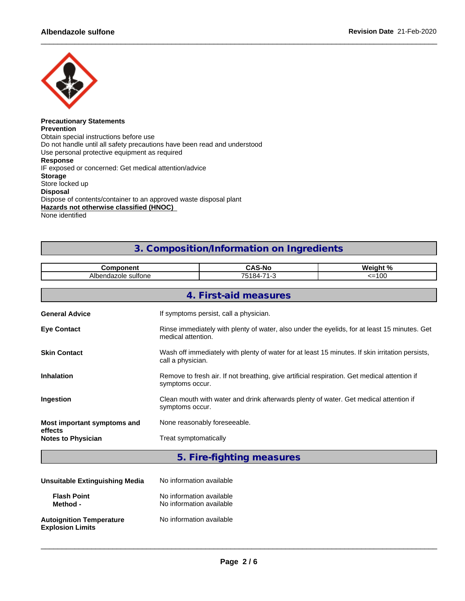

#### **Precautionary Statements Prevention** Obtain special instructions before use Do not handle until all safety precautions have been read and understood Use personal protective equipment as required **Response** IF exposed or concerned: Get medical attention/advice **Storage** Store locked up **Disposal** Dispose of contents/container to an approved waste disposal plant **Hazards not otherwise classified (HNOC)** None identified

## **3. Composition/Information on Ingredients**

| <b>Component</b>                       |                                             | <b>CAS-No</b>                                                                                                        | Weight % |  |
|----------------------------------------|---------------------------------------------|----------------------------------------------------------------------------------------------------------------------|----------|--|
|                                        | Albendazole sulfone<br>75184-71-3<br>$=100$ |                                                                                                                      |          |  |
|                                        |                                             | 4. First-aid measures                                                                                                |          |  |
| <b>General Advice</b>                  |                                             | If symptoms persist, call a physician.                                                                               |          |  |
| <b>Eye Contact</b>                     | medical attention.                          | Rinse immediately with plenty of water, also under the eyelids, for at least 15 minutes. Get                         |          |  |
| <b>Skin Contact</b>                    |                                             | Wash off immediately with plenty of water for at least 15 minutes. If skin irritation persists,<br>call a physician. |          |  |
| <b>Inhalation</b>                      | symptoms occur.                             | Remove to fresh air. If not breathing, give artificial respiration. Get medical attention if                         |          |  |
| Ingestion                              | symptoms occur.                             | Clean mouth with water and drink afterwards plenty of water. Get medical attention if                                |          |  |
| Most important symptoms and<br>effects | None reasonably foreseeable.                |                                                                                                                      |          |  |
| <b>Notes to Physician</b>              | Treat symptomatically                       |                                                                                                                      |          |  |
|                                        |                                             |                                                                                                                      |          |  |

**5. Fire-fighting measures**

| Unsuitable Extinguishing Media                             | No information available                             |  |
|------------------------------------------------------------|------------------------------------------------------|--|
| <b>Flash Point</b><br>Method -                             | No information available<br>No information available |  |
| <b>Autoignition Temperature</b><br><b>Explosion Limits</b> | No information available                             |  |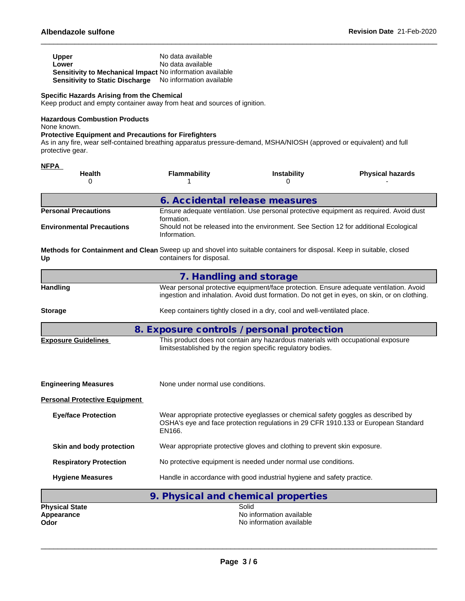| Upper                                                            | No data available        |
|------------------------------------------------------------------|--------------------------|
| Lower                                                            | No data available        |
| <b>Sensitivity to Mechanical Impact No information available</b> |                          |
| Sensitivity to Static Discharge                                  | No information available |

## **Specific Hazards Arising from the Chemical**

Keep product and empty container away from heat and sources of ignition.

## **Hazardous Combustion Products**

None known.

## **Protective Equipment and Precautions for Firefighters**

As in any fire, wear self-contained breathing apparatus pressure-demand, MSHA/NIOSH (approved or equivalent) and full protective gear.

| <b>NFPA</b>                                                                                                                 |                                   |                                                                                                                                                 |                                                                                                                                                                                        |
|-----------------------------------------------------------------------------------------------------------------------------|-----------------------------------|-------------------------------------------------------------------------------------------------------------------------------------------------|----------------------------------------------------------------------------------------------------------------------------------------------------------------------------------------|
| <b>Health</b><br>0                                                                                                          | <b>Flammability</b>               | Instability<br>O                                                                                                                                | <b>Physical hazards</b>                                                                                                                                                                |
|                                                                                                                             |                                   | 6. Accidental release measures                                                                                                                  |                                                                                                                                                                                        |
| <b>Personal Precautions</b>                                                                                                 | formation.                        |                                                                                                                                                 | Ensure adequate ventilation. Use personal protective equipment as required. Avoid dust                                                                                                 |
| <b>Environmental Precautions</b>                                                                                            | Information.                      | Should not be released into the environment. See Section 12 for additional Ecological                                                           |                                                                                                                                                                                        |
| Methods for Containment and Clean Sweep up and shovel into suitable containers for disposal. Keep in suitable, closed<br>Up | containers for disposal.          |                                                                                                                                                 |                                                                                                                                                                                        |
|                                                                                                                             |                                   | 7. Handling and storage                                                                                                                         |                                                                                                                                                                                        |
| <b>Handling</b>                                                                                                             |                                   |                                                                                                                                                 | Wear personal protective equipment/face protection. Ensure adequate ventilation. Avoid<br>ingestion and inhalation. Avoid dust formation. Do not get in eyes, on skin, or on clothing. |
| <b>Storage</b>                                                                                                              |                                   | Keep containers tightly closed in a dry, cool and well-ventilated place.                                                                        |                                                                                                                                                                                        |
|                                                                                                                             |                                   | 8. Exposure controls / personal protection                                                                                                      |                                                                                                                                                                                        |
| <b>Exposure Guidelines</b>                                                                                                  |                                   | This product does not contain any hazardous materials with occupational exposure<br>limitsestablished by the region specific regulatory bodies. |                                                                                                                                                                                        |
| <b>Engineering Measures</b>                                                                                                 | None under normal use conditions. |                                                                                                                                                 |                                                                                                                                                                                        |
| <b>Personal Protective Equipment</b>                                                                                        |                                   |                                                                                                                                                 |                                                                                                                                                                                        |
| <b>Eye/face Protection</b>                                                                                                  | EN166.                            | Wear appropriate protective eyeglasses or chemical safety goggles as described by                                                               | OSHA's eye and face protection regulations in 29 CFR 1910.133 or European Standard                                                                                                     |
| Skin and body protection                                                                                                    |                                   | Wear appropriate protective gloves and clothing to prevent skin exposure.                                                                       |                                                                                                                                                                                        |
| <b>Respiratory Protection</b>                                                                                               |                                   | No protective equipment is needed under normal use conditions.                                                                                  |                                                                                                                                                                                        |
| <b>Hygiene Measures</b>                                                                                                     |                                   | Handle in accordance with good industrial hygiene and safety practice.                                                                          |                                                                                                                                                                                        |
|                                                                                                                             |                                   | 9. Physical and chemical properties                                                                                                             |                                                                                                                                                                                        |
| <b>Physical State</b><br>Appearance<br>Odor                                                                                 |                                   | Solid<br>No information available<br>No information available                                                                                   |                                                                                                                                                                                        |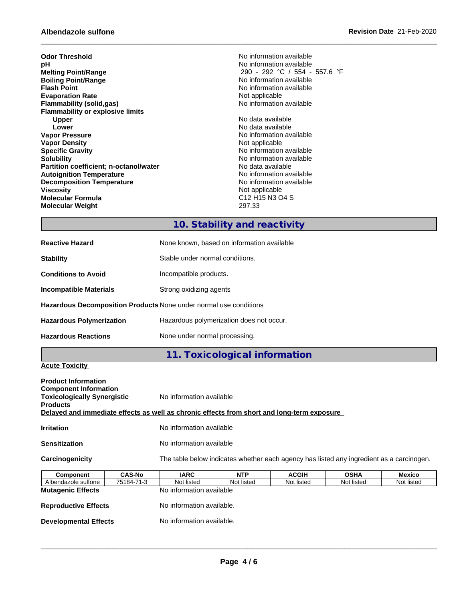| <b>Odor Threshold</b>                         | No information available                                        |
|-----------------------------------------------|-----------------------------------------------------------------|
| рH                                            | No information available                                        |
| <b>Melting Point/Range</b>                    | 290 - 292 °C / 554 - 557.6 °F                                   |
| <b>Boiling Point/Range</b>                    | No information available                                        |
| <b>Flash Point</b>                            | No information available                                        |
| <b>Evaporation Rate</b>                       | Not applicable                                                  |
| <b>Flammability (solid,gas)</b>               | No information available                                        |
| <b>Flammability or explosive limits</b>       |                                                                 |
| <b>Upper</b>                                  | No data available                                               |
| Lower                                         | No data available                                               |
| <b>Vapor Pressure</b>                         | No information available                                        |
| <b>Vapor Density</b>                          | Not applicable                                                  |
| <b>Specific Gravity</b>                       | No information available                                        |
| <b>Solubility</b>                             | No information available                                        |
| <b>Partition coefficient; n-octanol/water</b> | No data available                                               |
| <b>Autoignition Temperature</b>               | No information available                                        |
| <b>Decomposition Temperature</b>              | No information available                                        |
| Viscosity                                     | Not applicable                                                  |
| <b>Molecular Formula</b>                      | C <sub>12</sub> H <sub>15</sub> N <sub>3</sub> O <sub>4</sub> S |
| <b>Molecular Weight</b>                       | 297.33                                                          |
|                                               |                                                                 |

## **10. Stability and reactivity**

| <b>Reactive Hazard</b>                                                   | None known, based on information available |
|--------------------------------------------------------------------------|--------------------------------------------|
| <b>Stability</b>                                                         | Stable under normal conditions.            |
| <b>Conditions to Avoid</b>                                               | Incompatible products.                     |
| Incompatible Materials                                                   | Strong oxidizing agents                    |
| <b>Hazardous Decomposition Products None under normal use conditions</b> |                                            |
| <b>Hazardous Polymerization</b>                                          | Hazardous polymerization does not occur.   |
| <b>Hazardous Reactions</b>                                               | None under normal processing.              |

## **11. Toxicological information**

## **Acute Toxicity**

| <b>Product Information</b><br><b>Component Information</b><br><b>Toxicologically Synergistic</b><br><b>Products</b><br>Delayed and immediate effects as well as chronic effects from short and long-term exposure |               | No information available |            |                                                                                          |             |        |
|-------------------------------------------------------------------------------------------------------------------------------------------------------------------------------------------------------------------|---------------|--------------------------|------------|------------------------------------------------------------------------------------------|-------------|--------|
| <b>Irritation</b>                                                                                                                                                                                                 |               | No information available |            |                                                                                          |             |        |
| <b>Sensitization</b>                                                                                                                                                                                              |               | No information available |            |                                                                                          |             |        |
| Carcinogenicity                                                                                                                                                                                                   |               |                          |            | The table below indicates whether each agency has listed any ingredient as a carcinogen. |             |        |
| <b>Component</b>                                                                                                                                                                                                  | <b>CAS-No</b> | <b>IARC</b>              | <b>NTP</b> | <b>ACGIH</b>                                                                             | <b>OSHA</b> | Mexico |

| IARU.      | NIP        | AUGIN                                                 | USMA       | <b>MEXICO</b> |
|------------|------------|-------------------------------------------------------|------------|---------------|
| Not listed | Not listed | Not listed                                            | Not listed | Not listed    |
|            |            |                                                       |            |               |
|            |            |                                                       |            |               |
|            |            |                                                       |            |               |
|            |            | No information available<br>No information available. |            |               |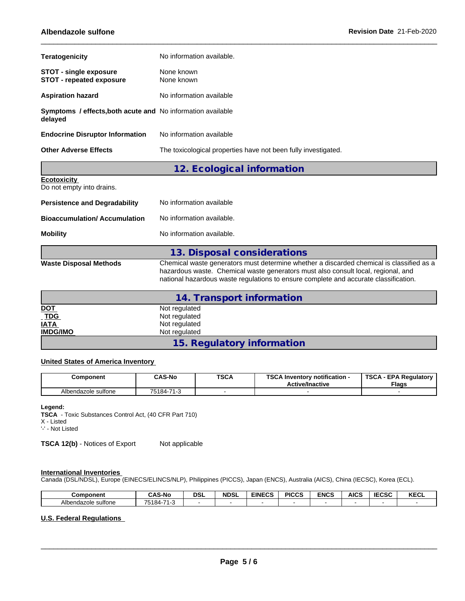| <b>Teratogenicity</b>                                                  | No information available.                                      |
|------------------------------------------------------------------------|----------------------------------------------------------------|
| <b>STOT - single exposure</b><br><b>STOT - repeated exposure</b>       | None known<br>None known                                       |
| <b>Aspiration hazard</b>                                               | No information available                                       |
| Symptoms / effects, both acute and No information available<br>delayed |                                                                |
| <b>Endocrine Disruptor Information</b>                                 | No information available                                       |
| <b>Other Adverse Effects</b>                                           | The toxicological properties have not been fully investigated. |
|                                                                        | 12. Ecological information                                     |
| <b>Ecotoxicity</b><br>Do not empty into drains.                        |                                                                |

| <b>Persistence and Degradability</b> | No information available                                                            |
|--------------------------------------|-------------------------------------------------------------------------------------|
| <b>Bioaccumulation/ Accumulation</b> | No information available.                                                           |
| <b>Mobility</b>                      | No information available.                                                           |
|                                      | 13. Disposal considerations                                                         |
| Waste Disposal Methods               | Chemical waste generators must determine whether a discarded chemical is classified |

| Waste Disposal Methods | Chemical waste generators must determine whether a discarded chemical is classified as a |
|------------------------|------------------------------------------------------------------------------------------|
|                        | hazardous waste. Chemical waste generators must also consult local, regional, and        |
|                        | national hazardous waste regulations to ensure complete and accurate classification.     |
|                        |                                                                                          |

| 14. Transport information |                            |  |  |  |
|---------------------------|----------------------------|--|--|--|
| <b>DOT</b>                | Not regulated              |  |  |  |
| $TDG$                     | Not regulated              |  |  |  |
| <b>IATA</b>               | Not regulated              |  |  |  |
| <b>IMDG/IMO</b>           | Not regulated              |  |  |  |
|                           | 15. Regulatory information |  |  |  |

## **United States of America Inventory**

| Component                      | <b>CAS-No</b>      | <b>TSCA</b> | <b>TSCA</b><br><b>\ Inventory notification -</b><br><b>Active/Inactive</b> | <b>TSCA</b><br>- EPA Regulatory<br><b>Flags</b> |
|--------------------------------|--------------------|-------------|----------------------------------------------------------------------------|-------------------------------------------------|
| $\cdot$<br>Albendazole sulfone | 710<br>:184-<br>н. |             |                                                                            |                                                 |

#### **Legend:**

**TSCA** - Toxic Substances Control Act, (40 CFR Part 710) X - Listed

'-' - Not Listed

**TSCA 12(b)** - Notices of Export Not applicable

## **International Inventories**

Canada (DSL/NDSL), Europe (EINECS/ELINCS/NLP), Philippines (PICCS), Japan (ENCS), Australia (AICS), China (IECSC), Korea (ECL).

| Component                | <b>CAS-No</b>                          | <b>DSL</b> | <b>NDSL</b> | <b>EINECS</b> | <b>PICCS</b> | <b>ENCS</b> | AIC. | <b>IECSC</b> | <b>KECL</b> |
|--------------------------|----------------------------------------|------------|-------------|---------------|--------------|-------------|------|--------------|-------------|
| .<br>Albendazole sulfone | 75184-<br>$\rightarrow$<br>$\sim$<br>. |            |             |               |              |             |      |              |             |

## **U.S. Federal Regulations**